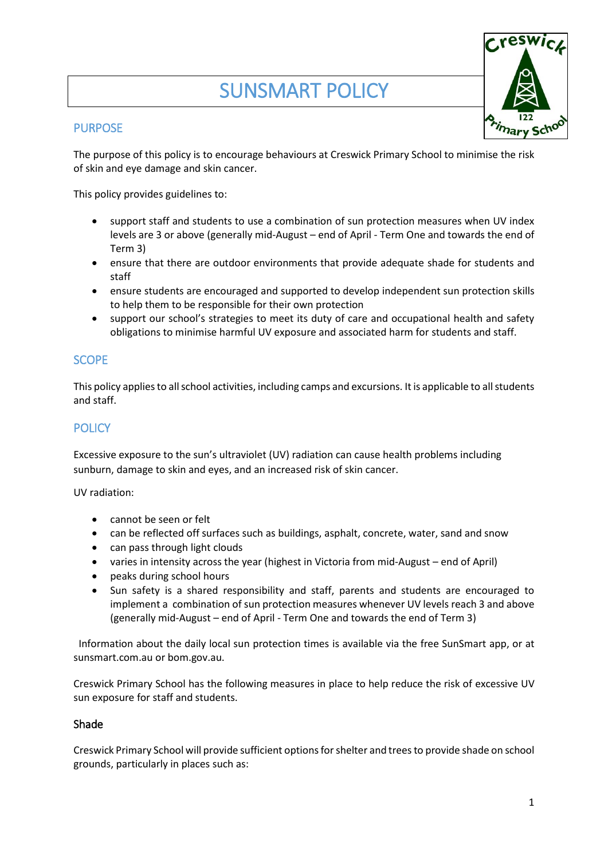# SUNSMART POLICY

## **PURPOSE**

The purpose of this policy is to encourage behaviours at Creswick Primary School to minimise the risk of skin and eye damage and skin cancer.

This policy provides guidelines to:

- support staff and students to use a combination of sun protection measures when UV index levels are 3 or above (generally mid-August – end of April - Term One and towards the end of Term 3)
- ensure that there are outdoor environments that provide adequate shade for students and staff
- ensure students are encouraged and supported to develop independent sun protection skills to help them to be responsible for their own protection
- support our school's strategies to meet its duty of care and occupational health and safety obligations to minimise harmful UV exposure and associated harm for students and staff.

# **SCOPE**

This policy applies to all school activities, including camps and excursions. It is applicable to all students and staff.

# **POLICY**

Excessive exposure to the sun's ultraviolet (UV) radiation can cause health problems including sunburn, damage to skin and eyes, and an increased risk of skin cancer.

UV radiation:

- cannot be seen or felt
- can be reflected off surfaces such as buildings, asphalt, concrete, water, sand and snow
- can pass through light clouds
- varies in intensity across the year (highest in Victoria from mid-August end of April)
- peaks during school hours
- Sun safety is a shared responsibility and staff, parents and students are encouraged to implement a combination of sun protection measures whenever UV levels reach 3 and above (generally mid-August – end of April - Term One and towards the end of Term 3)

Information about the daily local sun protection times is available via the free [SunSmart app,](http://www.sunsmart.com.au/tools/interactive-tools/free-sunsmart-app) or at [sunsmart.com.au](http://www.sunsmart.com.au/) or bom.gov.au.

Creswick Primary School has the following measures in place to help reduce the risk of excessive UV sun exposure for staff and students.

## Shade

Creswick Primary School will provide sufficient options for shelter and trees to provide shade on school grounds, particularly in places such as: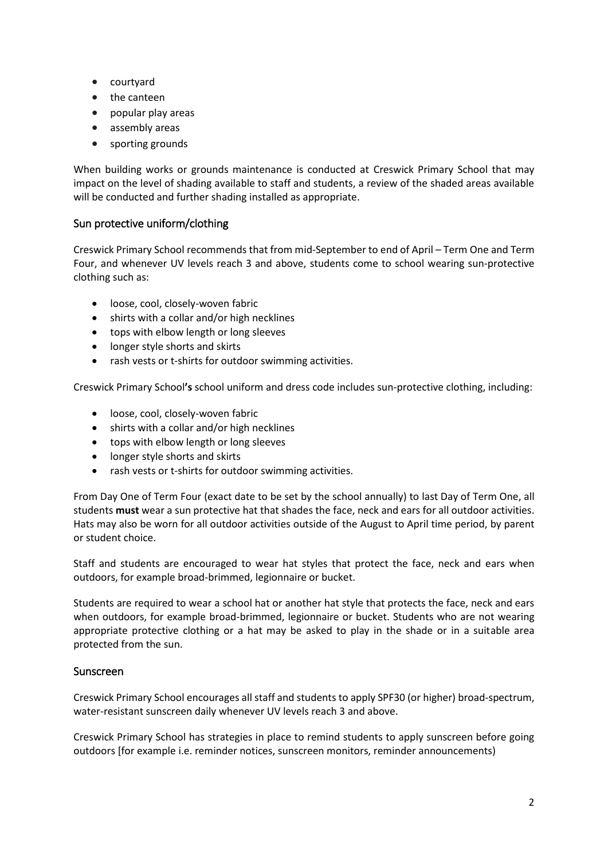- courtyard
- the canteen
- popular play areas
- assembly areas
- sporting grounds

When building works or grounds maintenance is conducted at Creswick Primary School that may impact on the level of shading available to staff and students, a review of the shaded areas available will be conducted and further shading installed as appropriate.

### Sun protective uniform/clothing

Creswick Primary School recommends that from mid-September to end of April – Term One and Term Four, and whenever UV levels reach 3 and above, students come to school wearing sun-protective clothing such as:

- loose, cool, closely-woven fabric
- shirts with a collar and/or high necklines
- tops with elbow length or long sleeves
- longer style shorts and skirts
- rash vests or t-shirts for outdoor swimming activities.

Creswick Primary School**'s** school uniform and dress code includes sun-protective clothing, including:

- loose, cool, closely-woven fabric
- shirts with a collar and/or high necklines
- tops with elbow length or long sleeves
- longer style shorts and skirts
- rash vests or t-shirts for outdoor swimming activities.

From Day One of Term Four (exact date to be set by the school annually) to last Day of Term One, all students **must** wear a sun protective hat that shades the face, neck and ears for all outdoor activities. Hats may also be worn for all outdoor activities outside of the August to April time period, by parent or student choice.

Staff and students are encouraged to wear hat styles that protect the face, neck and ears when outdoors, for example broad-brimmed, legionnaire or bucket.

Students are required to wear a school hat or another hat style that protects the face, neck and ears when outdoors, for example broad-brimmed, legionnaire or bucket. Students who are not wearing appropriate protective clothing or a hat may be asked to play in the shade or in a suitable area protected from the sun.

#### Sunscreen

Creswick Primary School encourages all staff and students to apply SPF30 (or higher) broad-spectrum, water-resistant sunscreen daily whenever UV levels reach 3 and above.

Creswick Primary School has strategies in place to remind students to apply sunscreen before going outdoors [for example i.e. reminder notices, sunscreen monitors, reminder announcements)